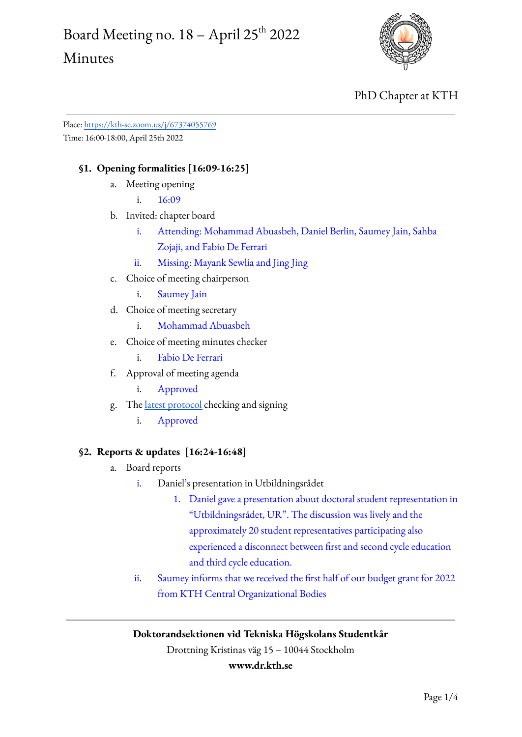## Board Meeting no.  $18$  – April 25<sup>th</sup> 2022 Minutes



## PhD Chapter at KTH

Place: <https://kth-se.zoom.us/j/67374055769> Time: 16:00-18:00, April 25th 2022

## **§1. Opening formalities [16:09-16:25]**

a. Meeting opening

i. 16:09

- b. Invited: chapter board
	- i. Attending: Mohammad Abuasbeh, Daniel Berlin, Saumey Jain, Sahba Zojaji, and Fabio De Ferrari
	- ii. Missing: Mayank Sewlia and Jing Jing
- c. Choice of meeting chairperson
	- i. Saumey Jain
- d. Choice of meeting secretary
	- i. Mohammad Abuasbeh
- e. Choice of meeting minutes checker
	- i. Fabio De Ferrari
- f. Approval of meeting agenda
	- i. Approved
- g. The latest [protocol](https://www.dr.kth.se/wp-content/uploads/sites/6/2022/04/Board-Meeting-20220411-Minutes.docx.pdf) checking and signing
	- i. Approved

### **§2. Reports & updates [16:24-16:48]**

- a. Board reports
	- i. Daniel's presentation in Utbildningsrådet
		- 1. Daniel gave a presentation about doctoral student representation in "Utbildningsrådet, UR". The discussion was lively and the approximately 20 student representatives participating also experienced a disconnect between first and second cycle education and third cycle education.
	- ii. Saumey informs that we received the first half of our budget grant for 2022 from KTH Central Organizational Bodies

### **Doktorandsektionen vid Tekniska Högskolans Studentkår**

Drottning Kristinas väg 15 – 10044 Stockholm

#### **www.dr.kth.se**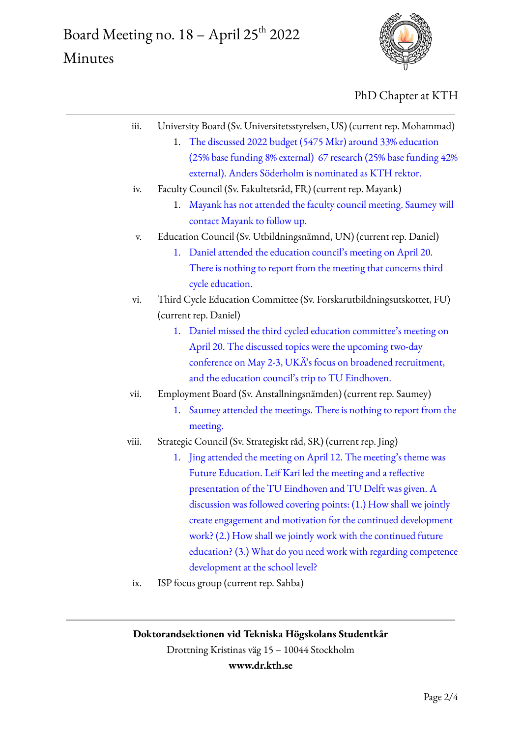# Board Meeting no.  $18$  – April 25<sup>th</sup> 2022 Minutes



PhD Chapter at KTH

| iii.  | University Board (Sv. Universitetsstyrelsen, US) (current rep. Mohammad) |
|-------|--------------------------------------------------------------------------|
|       | The discussed 2022 budget (5475 Mkr) around 33% education<br>1.          |
|       | (25% base funding 8% external) 67 research (25% base funding 42%         |
|       | external). Anders Söderholm is nominated as KTH rektor.                  |
| iv.   | Faculty Council (Sv. Fakultetsråd, FR) (current rep. Mayank)             |
|       | Mayank has not attended the faculty council meeting. Saumey will<br>1.   |
|       | contact Mayank to follow up.                                             |
| V.    | Education Council (Sv. Utbildningsnämnd, UN) (current rep. Daniel)       |
|       | Daniel attended the education council's meeting on April 20.<br>1.       |
|       | There is nothing to report from the meeting that concerns third          |
|       | cycle education.                                                         |
| vi.   | Third Cycle Education Committee (Sv. Forskarutbildningsutskottet, FU)    |
|       | (current rep. Daniel)                                                    |
|       | Daniel missed the third cycled education committee's meeting on<br>1.    |
|       | April 20. The discussed topics were the upcoming two-day                 |
|       | conference on May 2-3, UKÄ's focus on broadened recruitment,             |
|       | and the education council's trip to TU Eindhoven.                        |
| vii.  | Employment Board (Sv. Anstallningsnämden) (current rep. Saumey)          |
|       | Saumey attended the meetings. There is nothing to report from the<br>1.  |
|       | meeting.                                                                 |
| viii. | Strategic Council (Sv. Strategiskt råd, SR) (current rep. Jing)          |
|       | Jing attended the meeting on April 12. The meeting's theme was<br>1.     |
|       | Future Education. Leif Kari led the meeting and a reflective             |
|       | presentation of the TU Eindhoven and TU Delft was given. A               |
|       | discussion was followed covering points: (1.) How shall we jointly       |
|       | create engagement and motivation for the continued development           |
|       | work? (2.) How shall we jointly work with the continued future           |
|       | education? (3.) What do you need work with regarding competence          |
|       | development at the school level?                                         |
| ix.   | ISP focus group (current rep. Sahba)                                     |
|       |                                                                          |
|       |                                                                          |

## **Doktorandsektionen vid Tekniska Högskolans Studentkår**

Drottning Kristinas väg 15 – 10044 Stockholm

#### **www.dr.kth.se**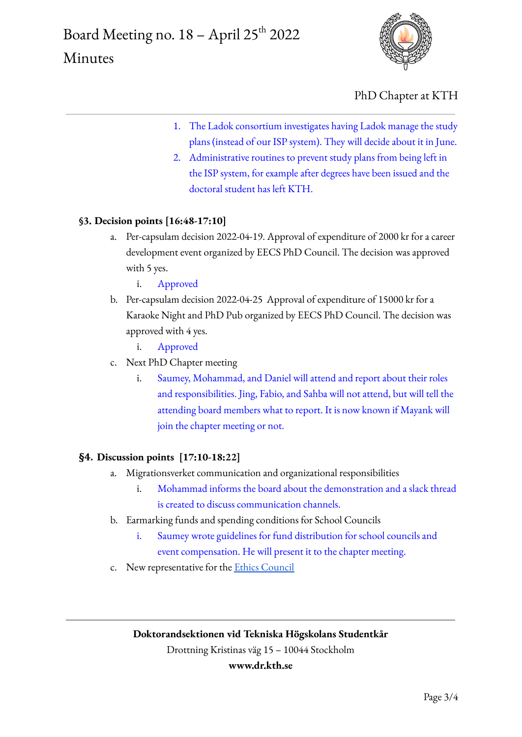

PhD Chapter at KTH

- 1. The Ladok consortium investigates having Ladok manage the study plans (instead of our ISP system). They will decide about it in June.
- 2. Administrative routines to prevent study plans from being left in the ISP system, for example after degrees have been issued and the doctoral student has left KTH.

## **§3. Decision points [16:48-17:10]**

- a. Per-capsulam decision 2022-04-19. Approval of expenditure of 2000 kr for a career development event organized by EECS PhD Council. The decision was approved with 5 yes.
	- i. Approved
- b. Per-capsulam decision 2022-04-25 Approval of expenditure of 15000 kr for a Karaoke Night and PhD Pub organized by EECS PhD Council. The decision was approved with 4 yes.
	- i. Approved
- c. Next PhD Chapter meeting
	- i. Saumey, Mohammad, and Daniel will attend and report about their roles and responsibilities. Jing, Fabio, and Sahba will not attend, but will tell the attending board members what to report. It is now known if Mayank will join the chapter meeting or not.

### **§4. Discussion points [17:10-18:22]**

- a. Migrationsverket communication and organizational responsibilities
	- i. Mohammad informs the board about the demonstration and a slack thread is created to discuss communication channels.
- b. Earmarking funds and spending conditions for School Councils
	- i. Saumey wrote guidelines for fund distribution for school councils and event compensation. He will present it to the chapter meeting.
- c. New representative for the Ethics [Council](https://intra.kth.se/en/styrning/kths-organisation/rektor/kths-fakultetsrad/etikutskottet-1.1104520)

## **Doktorandsektionen vid Tekniska Högskolans Studentkår**

Drottning Kristinas väg 15 – 10044 Stockholm

### **www.dr.kth.se**